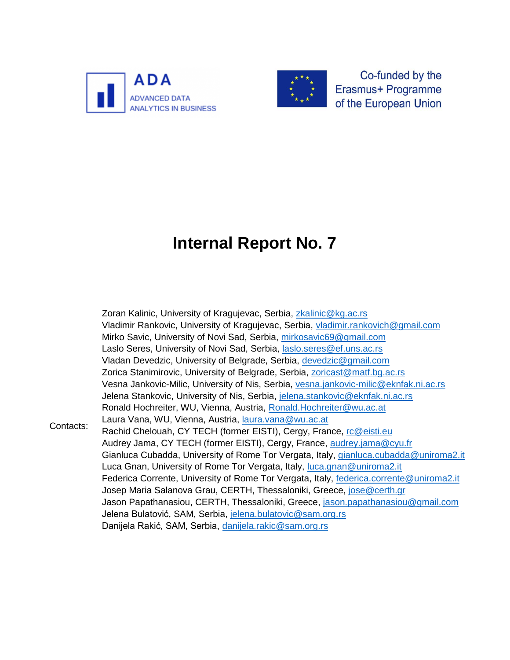



Co-funded by the Erasmus+ Programme of the European Union

# **Internal Report No. 7**

Contacts: Zoran Kalinic, University of Kragujevac, Serbia, [zkalinic@kg.ac.rs](mailto:zkalinic@kg.ac.rs) Vladimir Rankovic, University of Kragujevac, Serbia, [vladimir.rankovich@gmail.com](mailto:vladimir.rankovich@gmail.com) Mirko Savic, University of Novi Sad, Serbia, [mirkosavic69@gmail.com](mailto:mirkosavic69@gmail.com) Laslo Seres, University of Novi Sad, Serbia, [laslo.seres@ef.uns.ac.rs](mailto:laslo.seres@ef.uns.ac.rs) Vladan Devedzic, University of Belgrade, Serbia, [devedzic@gmail.com](mailto:devedzic@gmail.com) Zorica Stanimirovic, University of Belgrade, Serbia, [zoricast@matf.bg.ac.rs](mailto:zoricast@matf.bg.ac.rs) Vesna Jankovic-Milic, University of Nis, Serbia, [vesna.jankovic-milic@eknfak.ni.ac.rs](mailto:vesna.jankovic-milic@eknfak.ni.ac.rs) Jelena Stankovic, University of Nis, Serbia, [jelena.stankovic@eknfak.ni.ac.rs](mailto:jelena.stankovic@eknfak.ni.ac.rs) Ronald Hochreiter, WU, Vienna, Austria, [Ronald.Hochreiter@wu.ac.at](mailto:Ronald.Hochreiter@wu.ac.at) Laura Vana, WU, Vienna, Austria, [laura.vana@wu.ac.at](mailto:laura.vana@wu.ac.at) Rachid Chelouah, CY TECH (former EISTI), Cergy, France, [rc@eisti.eu](mailto:rc@eisti.eu) Audrey Jama, CY TECH (former EISTI), Cergy, France, [audrey.jama@cyu.fr](mailto:audrey.jama@cyu.fr) Gianluca Cubadda, University of Rome Tor Vergata, Italy, [gianluca.cubadda@uniroma2.it](mailto:gianluca.cubadda@uniroma2.it) Luca Gnan, University of Rome Tor Vergata, Italy, [luca.gnan@uniroma2.it](mailto:luca.gnan@uniroma2.it) Federica Corrente, University of Rome Tor Vergata, Italy, [federica.corrente@uniroma2.it](mailto:federica.corrente@uniroma2.it) Josep Maria Salanova Grau, CERTH, Thessaloniki, Greece, [jose@certh.gr](mailto:jose@certh.gr) Jason Papathanasiou, CERTH, Thessaloniki, Greece, [jason.papathanasiou@gmail.com](mailto:jason.papathanasiou@gmail.com) Jelena Bulatović, SAM, Serbia, [jelena.bulatovic@sam.org.rs](mailto:jelena.bulatovic@sam.org.rs) Danijela Rakić, SAM, Serbia, [danijela.rakic@sam.org.rs](mailto:danijela.rakic@sam.org.rs)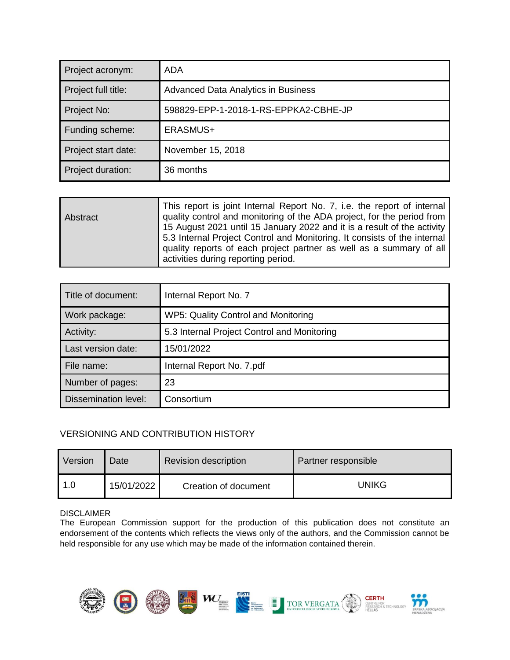| Project acronym:    | ADA                                        |
|---------------------|--------------------------------------------|
| Project full title: | <b>Advanced Data Analytics in Business</b> |
| Project No:         | 598829-EPP-1-2018-1-RS-EPPKA2-CBHE-JP      |
| Funding scheme:     | ERASMUS+                                   |
| Project start date: | November 15, 2018                          |
| Project duration:   | 36 months                                  |

| Abstract | This report is joint Internal Report No. 7, i.e. the report of internal<br>quality control and monitoring of the ADA project, for the period from<br>15 August 2021 until 15 January 2022 and it is a result of the activity |
|----------|------------------------------------------------------------------------------------------------------------------------------------------------------------------------------------------------------------------------------|
|          | 5.3 Internal Project Control and Monitoring. It consists of the internal<br>quality reports of each project partner as well as a summary of all<br>activities during reporting period.                                       |

| Title of document:          | Internal Report No. 7                       |
|-----------------------------|---------------------------------------------|
| Work package:               | WP5: Quality Control and Monitoring         |
| Activity:                   | 5.3 Internal Project Control and Monitoring |
| Last version date:          | 15/01/2022                                  |
| File name:                  | Internal Report No. 7.pdf                   |
| Number of pages:            | 23                                          |
| <b>Dissemination level:</b> | Consortium                                  |

#### VERSIONING AND CONTRIBUTION HISTORY

| Version | Date       | <b>Revision description</b> | Partner responsible |
|---------|------------|-----------------------------|---------------------|
| 1.0     | 15/01/2022 | Creation of document        | UNIKG               |

#### DISCLAIMER

The European Commission support for the production of this publication does not constitute an endorsement of the contents which reflects the views only of the authors, and the Commission cannot be held responsible for any use which may be made of the information contained therein.

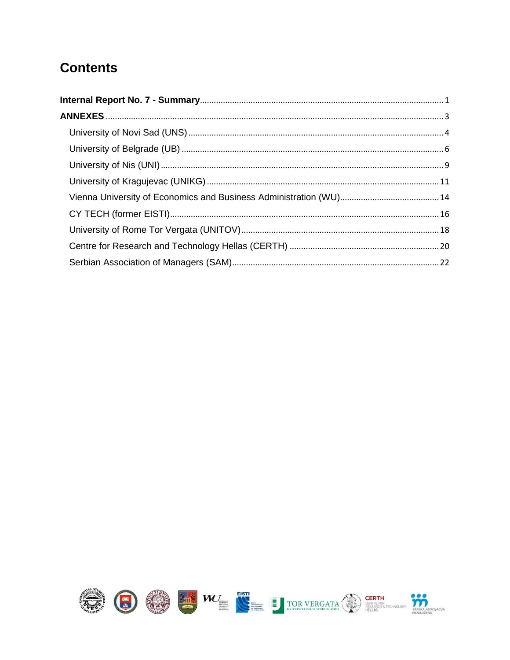#### **Contents**

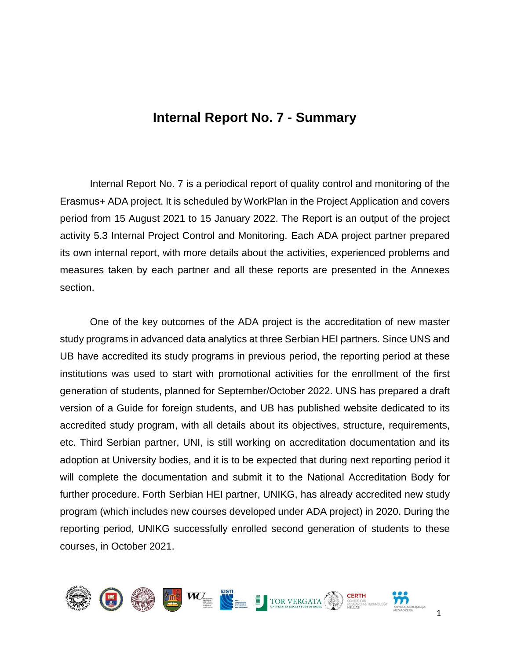#### **Internal Report No. 7 - Summary**

<span id="page-3-0"></span>Internal Report No. 7 is a periodical report of quality control and monitoring of the Erasmus+ ADA project. It is scheduled by WorkPlan in the Project Application and covers period from 15 August 2021 to 15 January 2022. The Report is an output of the project activity 5.3 Internal Project Control and Monitoring. Each ADA project partner prepared its own internal report, with more details about the activities, experienced problems and measures taken by each partner and all these reports are presented in the Annexes section.

One of the key outcomes of the ADA project is the accreditation of new master study programs in advanced data analytics at three Serbian HEI partners. Since UNS and UB have accredited its study programs in previous period, the reporting period at these institutions was used to start with promotional activities for the enrollment of the first generation of students, planned for September/October 2022. UNS has prepared a draft version of a Guide for foreign students, and UB has published website dedicated to its accredited study program, with all details about its objectives, structure, requirements, etc. Third Serbian partner, UNI, is still working on accreditation documentation and its adoption at University bodies, and it is to be expected that during next reporting period it will complete the documentation and submit it to the National Accreditation Body for further procedure. Forth Serbian HEI partner, UNIKG, has already accredited new study program (which includes new courses developed under ADA project) in 2020. During the reporting period, UNIKG successfully enrolled second generation of students to these courses, in October 2021.

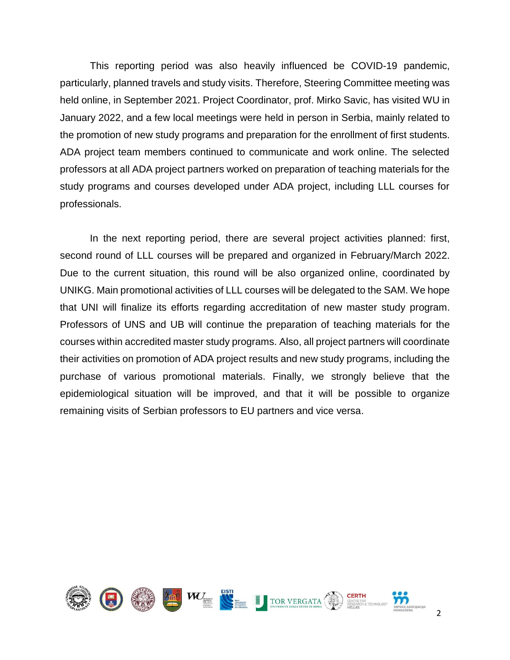This reporting period was also heavily influenced be COVID-19 pandemic, particularly, planned travels and study visits. Therefore, Steering Committee meeting was held online, in September 2021. Project Coordinator, prof. Mirko Savic, has visited WU in January 2022, and a few local meetings were held in person in Serbia, mainly related to the promotion of new study programs and preparation for the enrollment of first students. ADA project team members continued to communicate and work online. The selected professors at all ADA project partners worked on preparation of teaching materials for the study programs and courses developed under ADA project, including LLL courses for professionals.

In the next reporting period, there are several project activities planned: first, second round of LLL courses will be prepared and organized in February/March 2022. Due to the current situation, this round will be also organized online, coordinated by UNIKG. Main promotional activities of LLL courses will be delegated to the SAM. We hope that UNI will finalize its efforts regarding accreditation of new master study program. Professors of UNS and UB will continue the preparation of teaching materials for the courses within accredited master study programs. Also, all project partners will coordinate their activities on promotion of ADA project results and new study programs, including the purchase of various promotional materials. Finally, we strongly believe that the epidemiological situation will be improved, and that it will be possible to organize remaining visits of Serbian professors to EU partners and vice versa.

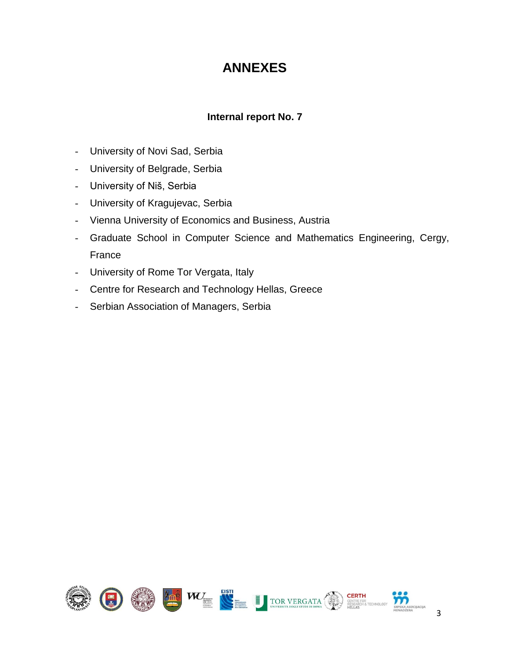#### **ANNEXES**

#### **Internal report No. 7**

- <span id="page-5-0"></span>- University of Novi Sad, Serbia
- University of Belgrade, Serbia
- University of Niš, Serbia
- University of Kragujevac, Serbia
- Vienna University of Economics and Business, Austria
- Graduate School in Computer Science and Mathematics Engineering, Cergy, France
- University of Rome Tor Vergata, Italy
- Centre for Research and Technology Hellas, Greece
- Serbian Association of Managers, Serbia

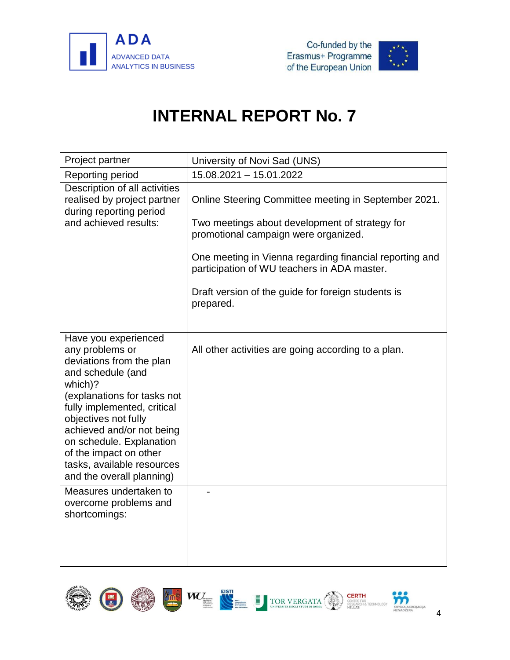



<span id="page-6-0"></span>

| Project partner                                                                                                                                                                                                                                                                                                                         | University of Novi Sad (UNS)                                                                                                                                                                                                                                                                                                |
|-----------------------------------------------------------------------------------------------------------------------------------------------------------------------------------------------------------------------------------------------------------------------------------------------------------------------------------------|-----------------------------------------------------------------------------------------------------------------------------------------------------------------------------------------------------------------------------------------------------------------------------------------------------------------------------|
| Reporting period                                                                                                                                                                                                                                                                                                                        | 15.08.2021 - 15.01.2022                                                                                                                                                                                                                                                                                                     |
| Description of all activities<br>realised by project partner<br>during reporting period<br>and achieved results:                                                                                                                                                                                                                        | Online Steering Committee meeting in September 2021.<br>Two meetings about development of strategy for<br>promotional campaign were organized.<br>One meeting in Vienna regarding financial reporting and<br>participation of WU teachers in ADA master.<br>Draft version of the guide for foreign students is<br>prepared. |
| Have you experienced<br>any problems or<br>deviations from the plan<br>and schedule (and<br>which)?<br>(explanations for tasks not<br>fully implemented, critical<br>objectives not fully<br>achieved and/or not being<br>on schedule. Explanation<br>of the impact on other<br>tasks, available resources<br>and the overall planning) | All other activities are going according to a plan.                                                                                                                                                                                                                                                                         |
| Measures undertaken to<br>overcome problems and<br>shortcomings:                                                                                                                                                                                                                                                                        |                                                                                                                                                                                                                                                                                                                             |

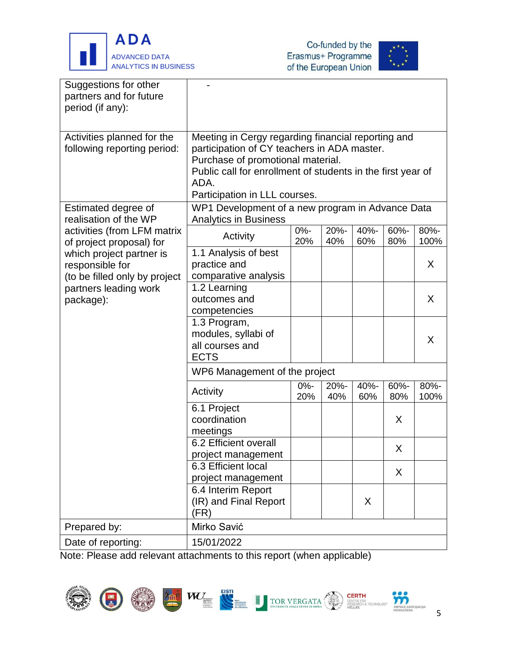



| Suggestions for other<br>partners and for future<br>period (if any):                                               |                                                                                                                                                                                                                                                                                                    |               |             |             |             |              |  |
|--------------------------------------------------------------------------------------------------------------------|----------------------------------------------------------------------------------------------------------------------------------------------------------------------------------------------------------------------------------------------------------------------------------------------------|---------------|-------------|-------------|-------------|--------------|--|
| Activities planned for the<br>following reporting period:<br>Estimated degree of                                   | Meeting in Cergy regarding financial reporting and<br>participation of CY teachers in ADA master.<br>Purchase of promotional material.<br>Public call for enrollment of students in the first year of<br>ADA.<br>Participation in LLL courses.<br>WP1 Development of a new program in Advance Data |               |             |             |             |              |  |
| realisation of the WP                                                                                              | <b>Analytics in Business</b>                                                                                                                                                                                                                                                                       |               |             |             |             |              |  |
| activities (from LFM matrix<br>of project proposal) for                                                            | Activity                                                                                                                                                                                                                                                                                           | $0% -$<br>20% | 20%-<br>40% | 40%-<br>60% | 60%-<br>80% | 80%-<br>100% |  |
| which project partner is<br>responsible for<br>(to be filled only by project<br>partners leading work<br>package): | 1.1 Analysis of best<br>practice and<br>comparative analysis                                                                                                                                                                                                                                       |               |             |             |             | X            |  |
|                                                                                                                    | 1.2 Learning<br>outcomes and<br>competencies                                                                                                                                                                                                                                                       |               |             |             |             | X            |  |
|                                                                                                                    | 1.3 Program,<br>modules, syllabi of<br>all courses and<br><b>ECTS</b>                                                                                                                                                                                                                              |               |             |             |             | X            |  |
|                                                                                                                    | WP6 Management of the project                                                                                                                                                                                                                                                                      |               |             |             |             |              |  |
|                                                                                                                    | Activity                                                                                                                                                                                                                                                                                           | $0% -$<br>20% | 20%-<br>40% | 40%-<br>60% | 60%-<br>80% | 80%-<br>100% |  |
|                                                                                                                    | 6.1 Project<br>coordination<br>meetings                                                                                                                                                                                                                                                            |               |             |             | X           |              |  |
|                                                                                                                    | 6.2 Efficient overall<br>project management                                                                                                                                                                                                                                                        |               |             |             | Χ           |              |  |
|                                                                                                                    | 6.3 Efficient local<br>project management                                                                                                                                                                                                                                                          |               |             |             | X           |              |  |
|                                                                                                                    | 6.4 Interim Report<br>(IR) and Final Report<br>(FR)                                                                                                                                                                                                                                                |               |             | X           |             |              |  |
| Prepared by:                                                                                                       | Mirko Savić                                                                                                                                                                                                                                                                                        |               |             |             |             |              |  |
| Date of reporting:                                                                                                 | 15/01/2022<br>conto to this ronort (uhon spolioshla                                                                                                                                                                                                                                                |               |             |             |             |              |  |

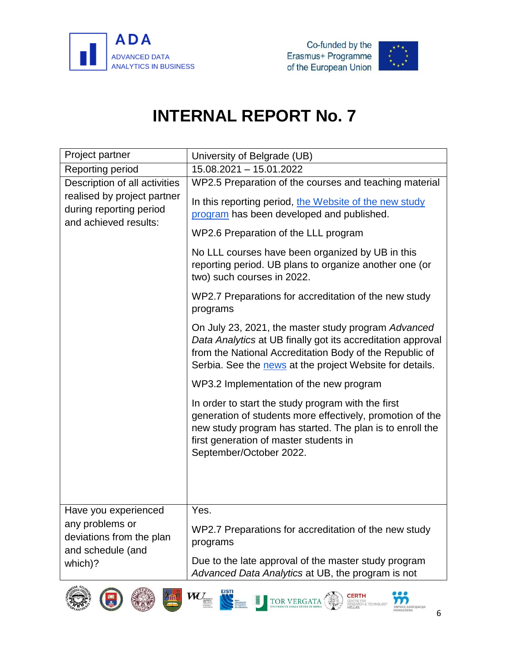



<span id="page-8-0"></span>

| Project partner                                                                 | University of Belgrade (UB)                                                                                                                                                                                                                      |  |  |  |  |  |
|---------------------------------------------------------------------------------|--------------------------------------------------------------------------------------------------------------------------------------------------------------------------------------------------------------------------------------------------|--|--|--|--|--|
| Reporting period                                                                | 15.08.2021 - 15.01.2022                                                                                                                                                                                                                          |  |  |  |  |  |
| Description of all activities                                                   | WP2.5 Preparation of the courses and teaching material                                                                                                                                                                                           |  |  |  |  |  |
| realised by project partner<br>during reporting period<br>and achieved results: | In this reporting period, the Website of the new study<br>program has been developed and published.                                                                                                                                              |  |  |  |  |  |
|                                                                                 | WP2.6 Preparation of the LLL program                                                                                                                                                                                                             |  |  |  |  |  |
|                                                                                 | No LLL courses have been organized by UB in this<br>reporting period. UB plans to organize another one (or<br>two) such courses in 2022.                                                                                                         |  |  |  |  |  |
|                                                                                 | WP2.7 Preparations for accreditation of the new study<br>programs                                                                                                                                                                                |  |  |  |  |  |
|                                                                                 | On July 23, 2021, the master study program Advanced<br>Data Analytics at UB finally got its accreditation approval<br>from the National Accreditation Body of the Republic of<br>Serbia. See the news at the project Website for details.        |  |  |  |  |  |
|                                                                                 | WP3.2 Implementation of the new program                                                                                                                                                                                                          |  |  |  |  |  |
|                                                                                 | In order to start the study program with the first<br>generation of students more effectively, promotion of the<br>new study program has started. The plan is to enroll the<br>first generation of master students in<br>September/October 2022. |  |  |  |  |  |
| Have you experienced                                                            | Yes.                                                                                                                                                                                                                                             |  |  |  |  |  |
| any problems or<br>deviations from the plan<br>and schedule (and                | WP2.7 Preparations for accreditation of the new study<br>programs                                                                                                                                                                                |  |  |  |  |  |
| which)?                                                                         | Due to the late approval of the master study program<br>Advanced Data Analytics at UB, the program is not                                                                                                                                        |  |  |  |  |  |















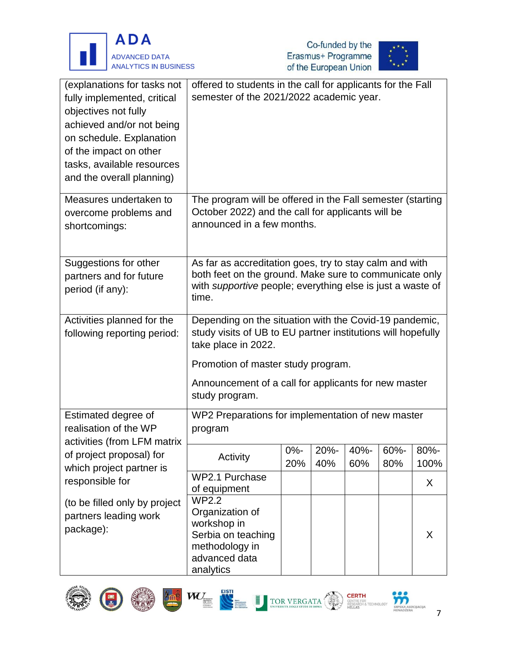





| (explanations for tasks not<br>fully implemented, critical<br>objectives not fully<br>achieved and/or not being<br>on schedule. Explanation | offered to students in the call for applicants for the Fall<br>semester of the 2021/2022 academic year. |                                                                   |      |      |      |      |  |
|---------------------------------------------------------------------------------------------------------------------------------------------|---------------------------------------------------------------------------------------------------------|-------------------------------------------------------------------|------|------|------|------|--|
| of the impact on other                                                                                                                      |                                                                                                         |                                                                   |      |      |      |      |  |
| tasks, available resources                                                                                                                  |                                                                                                         |                                                                   |      |      |      |      |  |
| and the overall planning)                                                                                                                   |                                                                                                         |                                                                   |      |      |      |      |  |
| Measures undertaken to                                                                                                                      | The program will be offered in the Fall semester (starting                                              |                                                                   |      |      |      |      |  |
| overcome problems and                                                                                                                       | October 2022) and the call for applicants will be                                                       |                                                                   |      |      |      |      |  |
| shortcomings:                                                                                                                               | announced in a few months.                                                                              |                                                                   |      |      |      |      |  |
|                                                                                                                                             |                                                                                                         |                                                                   |      |      |      |      |  |
| Suggestions for other                                                                                                                       | As far as accreditation goes, try to stay calm and with                                                 |                                                                   |      |      |      |      |  |
| partners and for future                                                                                                                     | both feet on the ground. Make sure to communicate only                                                  |                                                                   |      |      |      |      |  |
| period (if any):                                                                                                                            | time.                                                                                                   | with <i>supportive</i> people; everything else is just a waste of |      |      |      |      |  |
| Activities planned for the                                                                                                                  | Depending on the situation with the Covid-19 pandemic,                                                  |                                                                   |      |      |      |      |  |
| following reporting period:                                                                                                                 | study visits of UB to EU partner institutions will hopefully<br>take place in 2022.                     |                                                                   |      |      |      |      |  |
|                                                                                                                                             | Promotion of master study program.                                                                      |                                                                   |      |      |      |      |  |
|                                                                                                                                             | Announcement of a call for applicants for new master<br>study program.                                  |                                                                   |      |      |      |      |  |
| Estimated degree of                                                                                                                         | WP2 Preparations for implementation of new master                                                       |                                                                   |      |      |      |      |  |
| realisation of the WP                                                                                                                       | program                                                                                                 |                                                                   |      |      |      |      |  |
| activities (from LFM matrix                                                                                                                 |                                                                                                         | 0%-                                                               | 20%- | 40%- | 60%- | 80%- |  |
| of project proposal) for                                                                                                                    | Activity                                                                                                | 20%                                                               | 40%  | 60%  | 80%  | 100% |  |
| which project partner is<br>responsible for                                                                                                 | WP2.1 Purchase                                                                                          |                                                                   |      |      |      | X    |  |
|                                                                                                                                             | of equipment                                                                                            |                                                                   |      |      |      |      |  |
| (to be filled only by project                                                                                                               | <b>WP2.2</b><br>Organization of                                                                         |                                                                   |      |      |      |      |  |
| partners leading work                                                                                                                       | workshop in                                                                                             |                                                                   |      |      |      |      |  |
| package):                                                                                                                                   | Serbia on teaching                                                                                      |                                                                   |      |      |      | X    |  |
|                                                                                                                                             | methodology in                                                                                          |                                                                   |      |      |      |      |  |
|                                                                                                                                             | advanced data                                                                                           |                                                                   |      |      |      |      |  |
|                                                                                                                                             | analytics                                                                                               |                                                                   |      |      |      |      |  |













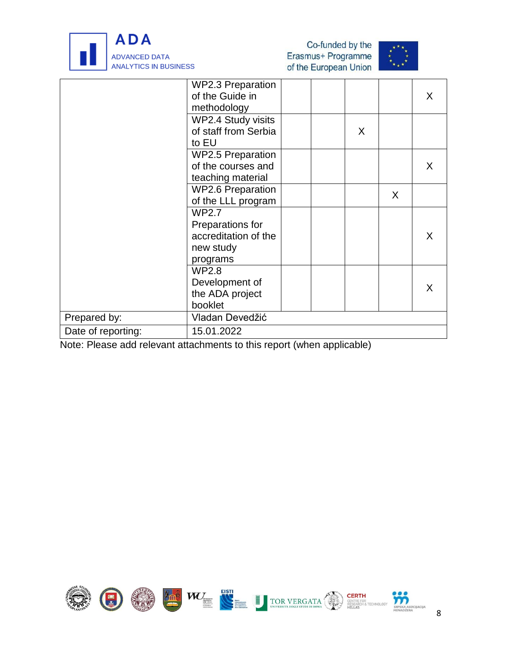





| <b>WP2.3 Preparation</b> |                 |   |         |
|--------------------------|-----------------|---|---------|
|                          |                 |   | $\sf X$ |
| methodology              |                 |   |         |
| WP2.4 Study visits       |                 |   |         |
| of staff from Serbia     |                 | X |         |
| to EU                    |                 |   |         |
| <b>WP2.5 Preparation</b> |                 |   |         |
| of the courses and       |                 |   | X.      |
| teaching material        |                 |   |         |
| <b>WP2.6 Preparation</b> |                 |   |         |
| of the LLL program       |                 |   |         |
| WP2.7                    |                 |   |         |
| Preparations for         |                 |   |         |
| accreditation of the     |                 |   | X       |
| new study                |                 |   |         |
| programs                 |                 |   |         |
| <b>WP2.8</b>             |                 |   |         |
| Development of           |                 |   | X.      |
| the ADA project          |                 |   |         |
| booklet                  |                 |   |         |
| Vladan Devedžić          |                 |   |         |
| 15.01.2022               |                 |   |         |
|                          | of the Guide in |   | X       |

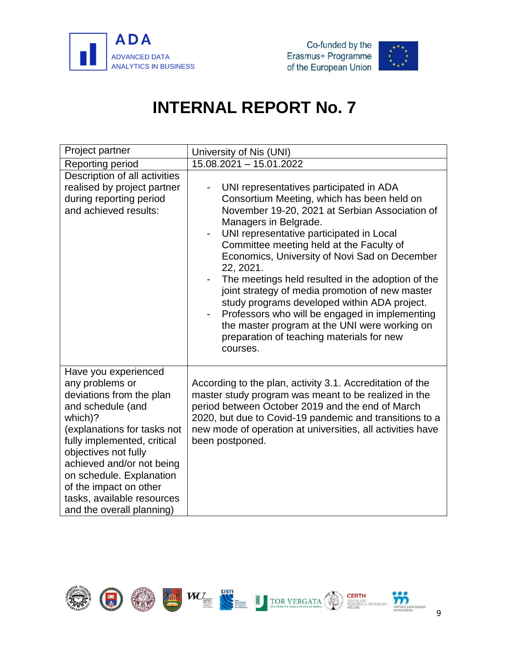





<span id="page-11-0"></span>

| Project partner                                                                                                                                                                                                                                                                                                                         | University of Nis (UNI)                                                                                                                                                                                                                                                                                                                                                                                                                                                                                                                                                                                                                    |
|-----------------------------------------------------------------------------------------------------------------------------------------------------------------------------------------------------------------------------------------------------------------------------------------------------------------------------------------|--------------------------------------------------------------------------------------------------------------------------------------------------------------------------------------------------------------------------------------------------------------------------------------------------------------------------------------------------------------------------------------------------------------------------------------------------------------------------------------------------------------------------------------------------------------------------------------------------------------------------------------------|
| Reporting period                                                                                                                                                                                                                                                                                                                        | 15.08.2021 - 15.01.2022                                                                                                                                                                                                                                                                                                                                                                                                                                                                                                                                                                                                                    |
| Description of all activities<br>realised by project partner<br>during reporting period<br>and achieved results:                                                                                                                                                                                                                        | UNI representatives participated in ADA<br>Consortium Meeting, which has been held on<br>November 19-20, 2021 at Serbian Association of<br>Managers in Belgrade.<br>UNI representative participated in Local<br>Committee meeting held at the Faculty of<br>Economics, University of Novi Sad on December<br>22, 2021.<br>The meetings held resulted in the adoption of the<br>joint strategy of media promotion of new master<br>study programs developed within ADA project.<br>Professors who will be engaged in implementing<br>the master program at the UNI were working on<br>preparation of teaching materials for new<br>courses. |
| Have you experienced<br>any problems or<br>deviations from the plan<br>and schedule (and<br>which)?<br>(explanations for tasks not<br>fully implemented, critical<br>objectives not fully<br>achieved and/or not being<br>on schedule. Explanation<br>of the impact on other<br>tasks, available resources<br>and the overall planning) | According to the plan, activity 3.1. Accreditation of the<br>master study program was meant to be realized in the<br>period between October 2019 and the end of March<br>2020, but due to Covid-19 pandemic and transitions to a<br>new mode of operation at universities, all activities have<br>been postponed.                                                                                                                                                                                                                                                                                                                          |

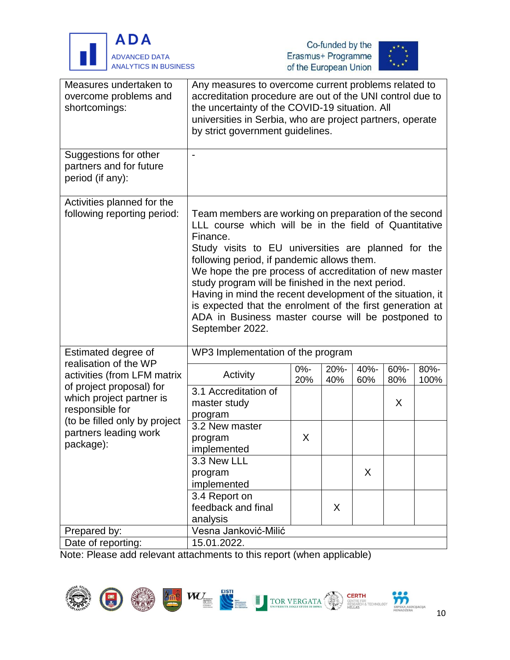





| Measures undertaken to<br>overcome problems and<br>shortcomings:        | Any measures to overcome current problems related to<br>accreditation procedure are out of the UNI control due to<br>the uncertainty of the COVID-19 situation. All<br>universities in Serbia, who are project partners, operate<br>by strict government guidelines.                                                                                                                                                                                                                                                                                |               |             |             |             |              |  |  |
|-------------------------------------------------------------------------|-----------------------------------------------------------------------------------------------------------------------------------------------------------------------------------------------------------------------------------------------------------------------------------------------------------------------------------------------------------------------------------------------------------------------------------------------------------------------------------------------------------------------------------------------------|---------------|-------------|-------------|-------------|--------------|--|--|
| Suggestions for other<br>partners and for future<br>period (if any):    |                                                                                                                                                                                                                                                                                                                                                                                                                                                                                                                                                     |               |             |             |             |              |  |  |
| Activities planned for the<br>following reporting period:               | Team members are working on preparation of the second<br>LLL course which will be in the field of Quantitative<br>Finance.<br>Study visits to EU universities are planned for the<br>following period, if pandemic allows them.<br>We hope the pre process of accreditation of new master<br>study program will be finished in the next period.<br>Having in mind the recent development of the situation, it<br>is expected that the enrolment of the first generation at<br>ADA in Business master course will be postponed to<br>September 2022. |               |             |             |             |              |  |  |
| Estimated degree of                                                     | WP3 Implementation of the program                                                                                                                                                                                                                                                                                                                                                                                                                                                                                                                   |               |             |             |             |              |  |  |
| realisation of the WP<br>activities (from LFM matrix                    | Activity                                                                                                                                                                                                                                                                                                                                                                                                                                                                                                                                            | $0% -$<br>20% | 20%-<br>40% | 40%-<br>60% | 60%-<br>80% | 80%-<br>100% |  |  |
| of project proposal) for<br>which project partner is<br>responsible for | 3.1 Accreditation of<br>master study<br>program                                                                                                                                                                                                                                                                                                                                                                                                                                                                                                     |               |             |             | X           |              |  |  |
| (to be filled only by project<br>partners leading work<br>package):     | 3.2 New master<br>program<br>implemented                                                                                                                                                                                                                                                                                                                                                                                                                                                                                                            | X             |             |             |             |              |  |  |
|                                                                         | 3.3 New LLL<br>program<br>implemented                                                                                                                                                                                                                                                                                                                                                                                                                                                                                                               |               |             | X           |             |              |  |  |
|                                                                         | 3.4 Report on<br>feedback and final<br>analysis                                                                                                                                                                                                                                                                                                                                                                                                                                                                                                     |               | X           |             |             |              |  |  |
| Prepared by:                                                            | Vesna Janković-Milić                                                                                                                                                                                                                                                                                                                                                                                                                                                                                                                                |               |             |             |             |              |  |  |
| Date of reporting:                                                      | 15.01.2022.                                                                                                                                                                                                                                                                                                                                                                                                                                                                                                                                         |               |             |             |             |              |  |  |
|                                                                         |                                                                                                                                                                                                                                                                                                                                                                                                                                                                                                                                                     |               |             |             |             |              |  |  |

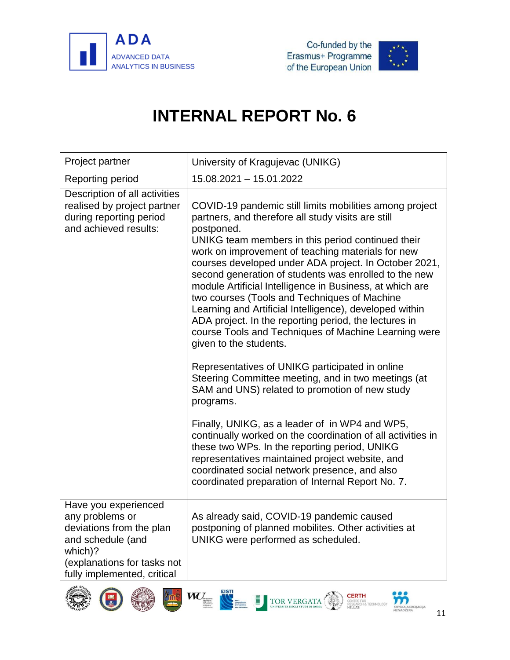



<span id="page-13-0"></span>

| Project partner                                                                                                                                                   | University of Kragujevac (UNIKG)                                                                                                                                                                                                                                                                                                                                                                                                                                                                                                                                                                                                                                                                                                                                                                                                                   |
|-------------------------------------------------------------------------------------------------------------------------------------------------------------------|----------------------------------------------------------------------------------------------------------------------------------------------------------------------------------------------------------------------------------------------------------------------------------------------------------------------------------------------------------------------------------------------------------------------------------------------------------------------------------------------------------------------------------------------------------------------------------------------------------------------------------------------------------------------------------------------------------------------------------------------------------------------------------------------------------------------------------------------------|
| Reporting period                                                                                                                                                  | 15.08.2021 - 15.01.2022                                                                                                                                                                                                                                                                                                                                                                                                                                                                                                                                                                                                                                                                                                                                                                                                                            |
| Description of all activities<br>realised by project partner<br>during reporting period<br>and achieved results:                                                  | COVID-19 pandemic still limits mobilities among project<br>partners, and therefore all study visits are still<br>postponed.<br>UNIKG team members in this period continued their<br>work on improvement of teaching materials for new<br>courses developed under ADA project. In October 2021,<br>second generation of students was enrolled to the new<br>module Artificial Intelligence in Business, at which are<br>two courses (Tools and Techniques of Machine<br>Learning and Artificial Intelligence), developed within<br>ADA project. In the reporting period, the lectures in<br>course Tools and Techniques of Machine Learning were<br>given to the students.<br>Representatives of UNIKG participated in online<br>Steering Committee meeting, and in two meetings (at<br>SAM and UNS) related to promotion of new study<br>programs. |
|                                                                                                                                                                   | Finally, UNIKG, as a leader of in WP4 and WP5,<br>continually worked on the coordination of all activities in<br>these two WPs. In the reporting period, UNIKG<br>representatives maintained project website, and<br>coordinated social network presence, and also<br>coordinated preparation of Internal Report No. 7.                                                                                                                                                                                                                                                                                                                                                                                                                                                                                                                            |
| Have you experienced<br>any problems or<br>deviations from the plan<br>and schedule (and<br>which)?<br>(explanations for tasks not<br>fully implemented, critical | As already said, COVID-19 pandemic caused<br>postponing of planned mobilites. Other activities at<br>UNIKG were performed as scheduled.                                                                                                                                                                                                                                                                                                                                                                                                                                                                                                                                                                                                                                                                                                            |











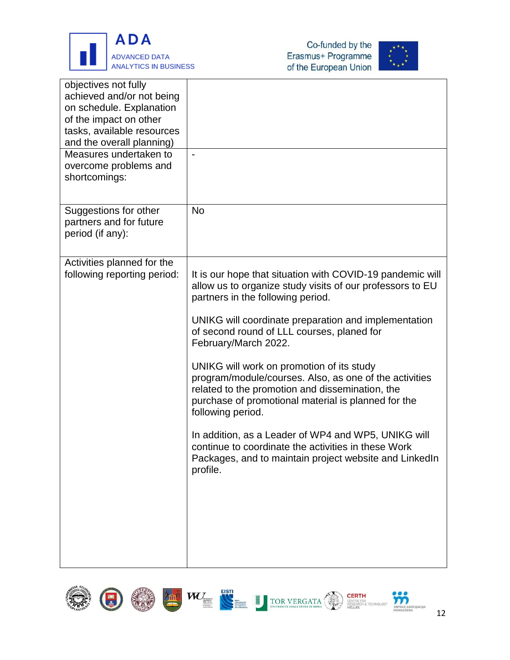





| objectives not fully<br>achieved and/or not being<br>on schedule. Explanation<br>of the impact on other<br>tasks, available resources<br>and the overall planning) |                                                                                                                                                                                                                                                                                                                                                                                                                                                                                                                                                                                                                                                                                                                     |
|--------------------------------------------------------------------------------------------------------------------------------------------------------------------|---------------------------------------------------------------------------------------------------------------------------------------------------------------------------------------------------------------------------------------------------------------------------------------------------------------------------------------------------------------------------------------------------------------------------------------------------------------------------------------------------------------------------------------------------------------------------------------------------------------------------------------------------------------------------------------------------------------------|
| Measures undertaken to<br>overcome problems and<br>shortcomings:                                                                                                   | $\blacksquare$                                                                                                                                                                                                                                                                                                                                                                                                                                                                                                                                                                                                                                                                                                      |
| Suggestions for other<br>partners and for future<br>period (if any):                                                                                               | <b>No</b>                                                                                                                                                                                                                                                                                                                                                                                                                                                                                                                                                                                                                                                                                                           |
| Activities planned for the<br>following reporting period:                                                                                                          | It is our hope that situation with COVID-19 pandemic will<br>allow us to organize study visits of our professors to EU<br>partners in the following period.<br>UNIKG will coordinate preparation and implementation<br>of second round of LLL courses, planed for<br>February/March 2022.<br>UNIKG will work on promotion of its study<br>program/module/courses. Also, as one of the activities<br>related to the promotion and dissemination, the<br>purchase of promotional material is planned for the<br>following period.<br>In addition, as a Leader of WP4 and WP5, UNIKG will<br>continue to coordinate the activities in these Work<br>Packages, and to maintain project website and LinkedIn<br>profile. |









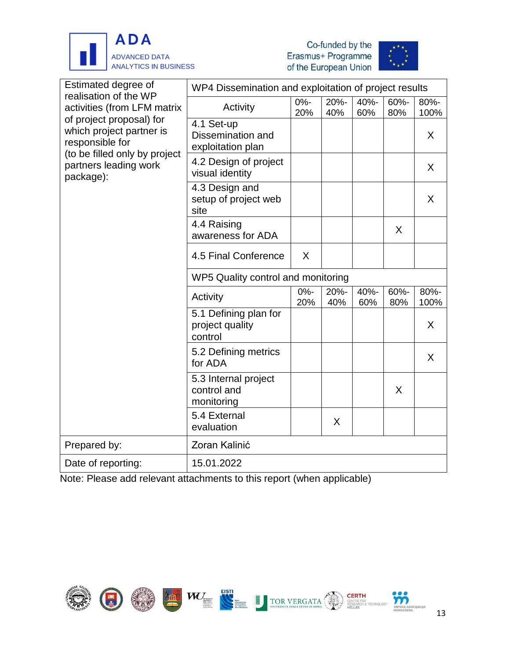





| Estimated degree of<br>realisation of the WP<br>activities (from LFM matrix<br>of project proposal) for<br>which project partner is<br>responsible for | WP4 Dissemination and exploitation of project results |               |             |             |             |              |  |  |
|--------------------------------------------------------------------------------------------------------------------------------------------------------|-------------------------------------------------------|---------------|-------------|-------------|-------------|--------------|--|--|
|                                                                                                                                                        | Activity                                              | $0% -$<br>20% | 20%-<br>40% | 40%-<br>60% | 60%-<br>80% | 80%-<br>100% |  |  |
|                                                                                                                                                        | 4.1 Set-up<br>Dissemination and<br>exploitation plan  |               |             |             |             | X            |  |  |
| (to be filled only by project<br>partners leading work<br>package):                                                                                    | 4.2 Design of project<br>visual identity              |               |             |             |             | $\sf X$      |  |  |
|                                                                                                                                                        | 4.3 Design and<br>setup of project web<br>site        |               |             |             |             | X            |  |  |
|                                                                                                                                                        | 4.4 Raising<br>awareness for ADA                      |               |             |             | X           |              |  |  |
|                                                                                                                                                        | 4.5 Final Conference                                  | X             |             |             |             |              |  |  |
|                                                                                                                                                        | WP5 Quality control and monitoring                    |               |             |             |             |              |  |  |
|                                                                                                                                                        | Activity                                              | $0% -$<br>20% | 20%-<br>40% | 40%-<br>60% | 60%-<br>80% | 80%-<br>100% |  |  |
|                                                                                                                                                        | 5.1 Defining plan for<br>project quality<br>control   |               |             |             |             | X            |  |  |
|                                                                                                                                                        | 5.2 Defining metrics<br>for ADA                       |               |             |             |             | X            |  |  |
|                                                                                                                                                        | 5.3 Internal project<br>control and<br>monitoring     |               |             |             | X           |              |  |  |
|                                                                                                                                                        | 5.4 External<br>evaluation                            |               | X           |             |             |              |  |  |
| Prepared by:                                                                                                                                           | Zoran Kalinić                                         |               |             |             |             |              |  |  |
| Date of reporting:                                                                                                                                     | 15.01.2022                                            |               |             |             |             |              |  |  |

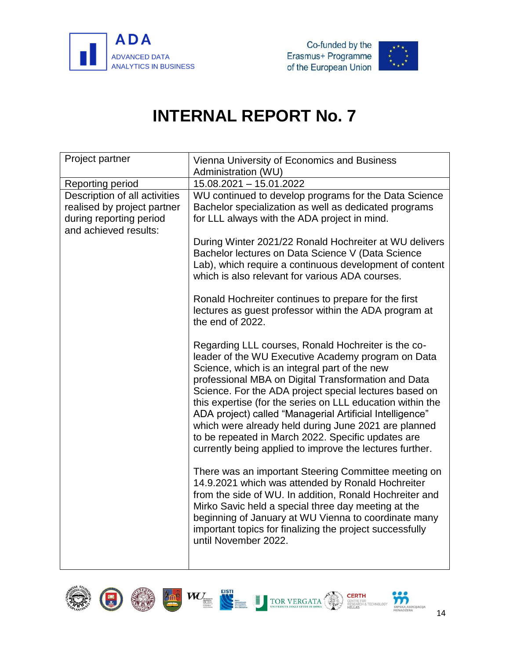



<span id="page-16-0"></span>

| Project partner                                                                                                  | Vienna University of Economics and Business<br>Administration (WU)                                                                                                                                                                                                                                                                                                                                                                                                                                                                                                              |
|------------------------------------------------------------------------------------------------------------------|---------------------------------------------------------------------------------------------------------------------------------------------------------------------------------------------------------------------------------------------------------------------------------------------------------------------------------------------------------------------------------------------------------------------------------------------------------------------------------------------------------------------------------------------------------------------------------|
| Reporting period                                                                                                 | 15.08.2021 - 15.01.2022                                                                                                                                                                                                                                                                                                                                                                                                                                                                                                                                                         |
| Description of all activities<br>realised by project partner<br>during reporting period<br>and achieved results: | WU continued to develop programs for the Data Science<br>Bachelor specialization as well as dedicated programs<br>for LLL always with the ADA project in mind.                                                                                                                                                                                                                                                                                                                                                                                                                  |
|                                                                                                                  | During Winter 2021/22 Ronald Hochreiter at WU delivers<br>Bachelor lectures on Data Science V (Data Science<br>Lab), which require a continuous development of content<br>which is also relevant for various ADA courses.                                                                                                                                                                                                                                                                                                                                                       |
|                                                                                                                  | Ronald Hochreiter continues to prepare for the first<br>lectures as guest professor within the ADA program at<br>the end of 2022.                                                                                                                                                                                                                                                                                                                                                                                                                                               |
|                                                                                                                  | Regarding LLL courses, Ronald Hochreiter is the co-<br>leader of the WU Executive Academy program on Data<br>Science, which is an integral part of the new<br>professional MBA on Digital Transformation and Data<br>Science. For the ADA project special lectures based on<br>this expertise (for the series on LLL education within the<br>ADA project) called "Managerial Artificial Intelligence"<br>which were already held during June 2021 are planned<br>to be repeated in March 2022. Specific updates are<br>currently being applied to improve the lectures further. |
|                                                                                                                  | There was an important Steering Committee meeting on<br>14.9.2021 which was attended by Ronald Hochreiter<br>from the side of WU. In addition, Ronald Hochreiter and<br>Mirko Savic held a special three day meeting at the<br>beginning of January at WU Vienna to coordinate many<br>important topics for finalizing the project successfully<br>until November 2022.                                                                                                                                                                                                         |

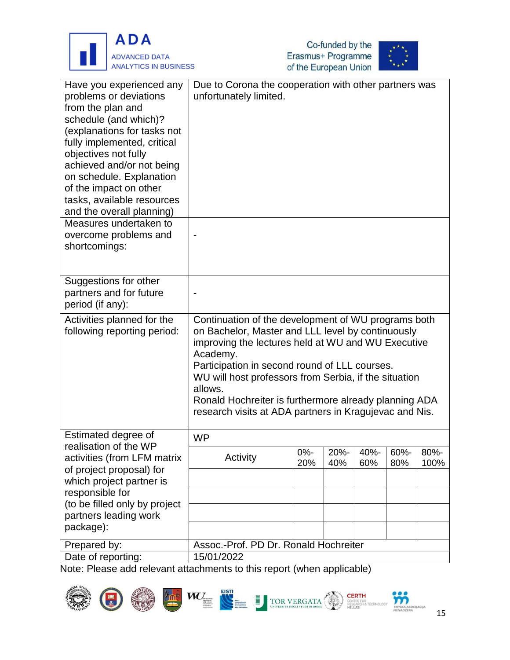





| Have you experienced any<br>problems or deviations<br>from the plan and<br>schedule (and which)?<br>(explanations for tasks not<br>fully implemented, critical<br>objectives not fully<br>achieved and/or not being<br>on schedule. Explanation<br>of the impact on other<br>tasks, available resources<br>and the overall planning) | Due to Corona the cooperation with other partners was<br>unfortunately limited.                                                                                                                                                                                                                                                                                                                                    |        |      |      |      |      |
|--------------------------------------------------------------------------------------------------------------------------------------------------------------------------------------------------------------------------------------------------------------------------------------------------------------------------------------|--------------------------------------------------------------------------------------------------------------------------------------------------------------------------------------------------------------------------------------------------------------------------------------------------------------------------------------------------------------------------------------------------------------------|--------|------|------|------|------|
| Measures undertaken to                                                                                                                                                                                                                                                                                                               |                                                                                                                                                                                                                                                                                                                                                                                                                    |        |      |      |      |      |
| overcome problems and                                                                                                                                                                                                                                                                                                                |                                                                                                                                                                                                                                                                                                                                                                                                                    |        |      |      |      |      |
| shortcomings:                                                                                                                                                                                                                                                                                                                        |                                                                                                                                                                                                                                                                                                                                                                                                                    |        |      |      |      |      |
|                                                                                                                                                                                                                                                                                                                                      |                                                                                                                                                                                                                                                                                                                                                                                                                    |        |      |      |      |      |
| Suggestions for other                                                                                                                                                                                                                                                                                                                |                                                                                                                                                                                                                                                                                                                                                                                                                    |        |      |      |      |      |
| partners and for future                                                                                                                                                                                                                                                                                                              |                                                                                                                                                                                                                                                                                                                                                                                                                    |        |      |      |      |      |
| period (if any):                                                                                                                                                                                                                                                                                                                     |                                                                                                                                                                                                                                                                                                                                                                                                                    |        |      |      |      |      |
| Activities planned for the<br>following reporting period:                                                                                                                                                                                                                                                                            | Continuation of the development of WU programs both<br>on Bachelor, Master and LLL level by continuously<br>improving the lectures held at WU and WU Executive<br>Academy.<br>Participation in second round of LLL courses.<br>WU will host professors from Serbia, if the situation<br>allows.<br>Ronald Hochreiter is furthermore already planning ADA<br>research visits at ADA partners in Kragujevac and Nis. |        |      |      |      |      |
| Estimated degree of<br>realisation of the WP                                                                                                                                                                                                                                                                                         | <b>WP</b>                                                                                                                                                                                                                                                                                                                                                                                                          |        |      |      |      |      |
| activities (from LFM matrix                                                                                                                                                                                                                                                                                                          | Activity                                                                                                                                                                                                                                                                                                                                                                                                           | $0% -$ | 20%- | 40%- | 60%- | 80%- |
| of project proposal) for                                                                                                                                                                                                                                                                                                             |                                                                                                                                                                                                                                                                                                                                                                                                                    | 20%    | 40%  | 60%  | 80%  | 100% |
| which project partner is                                                                                                                                                                                                                                                                                                             |                                                                                                                                                                                                                                                                                                                                                                                                                    |        |      |      |      |      |
| responsible for                                                                                                                                                                                                                                                                                                                      |                                                                                                                                                                                                                                                                                                                                                                                                                    |        |      |      |      |      |
| (to be filled only by project                                                                                                                                                                                                                                                                                                        |                                                                                                                                                                                                                                                                                                                                                                                                                    |        |      |      |      |      |
| partners leading work                                                                                                                                                                                                                                                                                                                |                                                                                                                                                                                                                                                                                                                                                                                                                    |        |      |      |      |      |
| package):                                                                                                                                                                                                                                                                                                                            |                                                                                                                                                                                                                                                                                                                                                                                                                    |        |      |      |      |      |
| Prepared by:                                                                                                                                                                                                                                                                                                                         | Assoc.-Prof. PD Dr. Ronald Hochreiter                                                                                                                                                                                                                                                                                                                                                                              |        |      |      |      |      |
| Date of reporting:                                                                                                                                                                                                                                                                                                                   | 15/01/2022                                                                                                                                                                                                                                                                                                                                                                                                         |        |      |      |      |      |











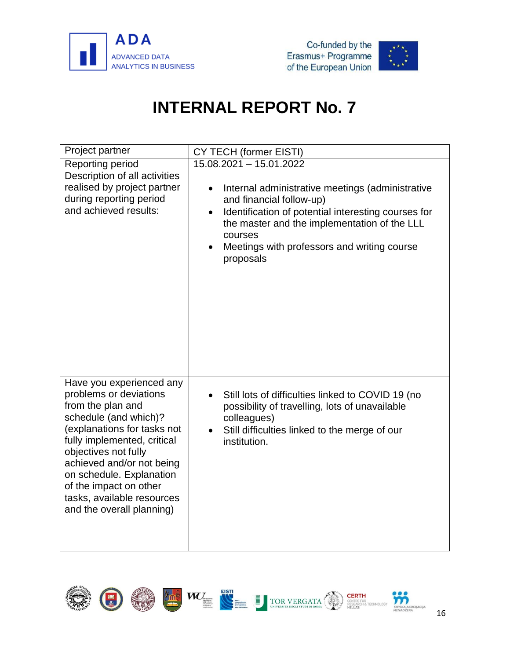



<span id="page-18-0"></span>

| Project partner                                                                                                                                                                                                                                                                                                                      | CY TECH (former EISTI)                                                                                                                                                                                                                                                               |
|--------------------------------------------------------------------------------------------------------------------------------------------------------------------------------------------------------------------------------------------------------------------------------------------------------------------------------------|--------------------------------------------------------------------------------------------------------------------------------------------------------------------------------------------------------------------------------------------------------------------------------------|
| Reporting period                                                                                                                                                                                                                                                                                                                     | 15.08.2021 - 15.01.2022                                                                                                                                                                                                                                                              |
| Description of all activities<br>realised by project partner<br>during reporting period<br>and achieved results:                                                                                                                                                                                                                     | Internal administrative meetings (administrative<br>and financial follow-up)<br>Identification of potential interesting courses for<br>$\bullet$<br>the master and the implementation of the LLL<br>courses<br>Meetings with professors and writing course<br>$\bullet$<br>proposals |
| Have you experienced any<br>problems or deviations<br>from the plan and<br>schedule (and which)?<br>(explanations for tasks not<br>fully implemented, critical<br>objectives not fully<br>achieved and/or not being<br>on schedule. Explanation<br>of the impact on other<br>tasks, available resources<br>and the overall planning) | Still lots of difficulties linked to COVID 19 (no<br>$\bullet$<br>possibility of travelling, lots of unavailable<br>colleagues)<br>Still difficulties linked to the merge of our<br>institution.                                                                                     |

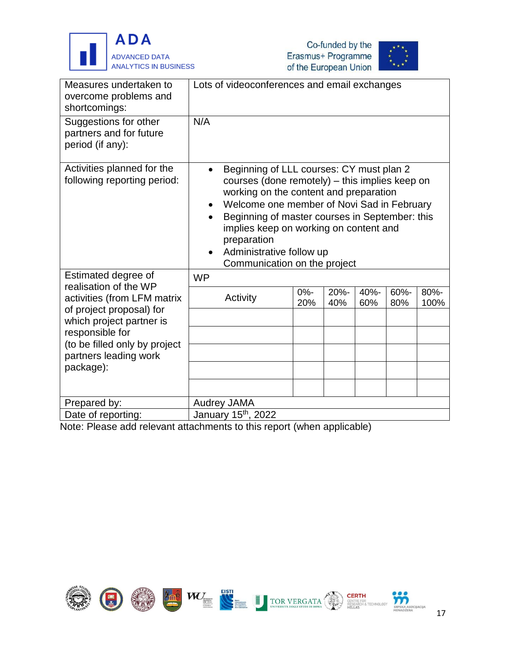





| Measures undertaken to<br>overcome problems and<br>shortcomings:                    |           | Lots of videoconferences and email exchanges                                                                                                                                                                                                                                                                                                              |            |             |             |             |              |
|-------------------------------------------------------------------------------------|-----------|-----------------------------------------------------------------------------------------------------------------------------------------------------------------------------------------------------------------------------------------------------------------------------------------------------------------------------------------------------------|------------|-------------|-------------|-------------|--------------|
| Suggestions for other<br>partners and for future<br>period (if any):                | N/A       |                                                                                                                                                                                                                                                                                                                                                           |            |             |             |             |              |
| Activities planned for the<br>following reporting period:                           |           | Beginning of LLL courses: CY must plan 2<br>courses (done remotely) - this implies keep on<br>working on the content and preparation<br>Welcome one member of Novi Sad in February<br>Beginning of master courses in September: this<br>implies keep on working on content and<br>preparation<br>Administrative follow up<br>Communication on the project |            |             |             |             |              |
| Estimated degree of<br>realisation of the WP                                        | <b>WP</b> |                                                                                                                                                                                                                                                                                                                                                           |            |             |             |             |              |
| activities (from LFM matrix<br>of project proposal) for<br>which project partner is |           | Activity                                                                                                                                                                                                                                                                                                                                                  | 0%-<br>20% | 20%-<br>40% | 40%-<br>60% | 60%-<br>80% | 80%-<br>100% |
| responsible for                                                                     |           |                                                                                                                                                                                                                                                                                                                                                           |            |             |             |             |              |
| (to be filled only by project<br>partners leading work                              |           |                                                                                                                                                                                                                                                                                                                                                           |            |             |             |             |              |
| package):                                                                           |           |                                                                                                                                                                                                                                                                                                                                                           |            |             |             |             |              |
|                                                                                     |           |                                                                                                                                                                                                                                                                                                                                                           |            |             |             |             |              |
| Prepared by:                                                                        |           | <b>Audrey JAMA</b>                                                                                                                                                                                                                                                                                                                                        |            |             |             |             |              |
| Date of reporting:                                                                  |           | January 15 <sup>th</sup> , 2022                                                                                                                                                                                                                                                                                                                           |            |             |             |             |              |

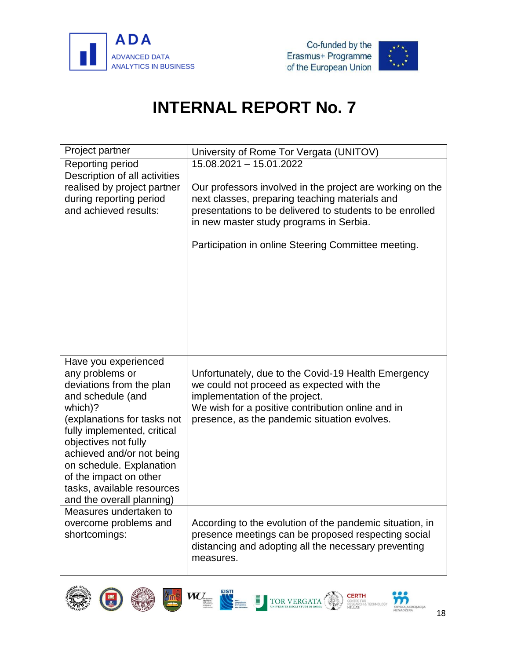



<span id="page-20-0"></span>

| Project partner                                                                                                                                                                                                                                                                                                                         | University of Rome Tor Vergata (UNITOV)                                                                                                                                                                                                                                   |
|-----------------------------------------------------------------------------------------------------------------------------------------------------------------------------------------------------------------------------------------------------------------------------------------------------------------------------------------|---------------------------------------------------------------------------------------------------------------------------------------------------------------------------------------------------------------------------------------------------------------------------|
| Reporting period                                                                                                                                                                                                                                                                                                                        | 15.08.2021 - 15.01.2022                                                                                                                                                                                                                                                   |
| Description of all activities<br>realised by project partner<br>during reporting period<br>and achieved results:                                                                                                                                                                                                                        | Our professors involved in the project are working on the<br>next classes, preparing teaching materials and<br>presentations to be delivered to students to be enrolled<br>in new master study programs in Serbia.<br>Participation in online Steering Committee meeting. |
| Have you experienced<br>any problems or<br>deviations from the plan<br>and schedule (and<br>which)?<br>(explanations for tasks not<br>fully implemented, critical<br>objectives not fully<br>achieved and/or not being<br>on schedule. Explanation<br>of the impact on other<br>tasks, available resources<br>and the overall planning) | Unfortunately, due to the Covid-19 Health Emergency<br>we could not proceed as expected with the<br>implementation of the project.<br>We wish for a positive contribution online and in<br>presence, as the pandemic situation evolves.                                   |
| Measures undertaken to<br>overcome problems and<br>shortcomings:                                                                                                                                                                                                                                                                        | According to the evolution of the pandemic situation, in<br>presence meetings can be proposed respecting social<br>distancing and adopting all the necessary preventing<br>measures.                                                                                      |



G









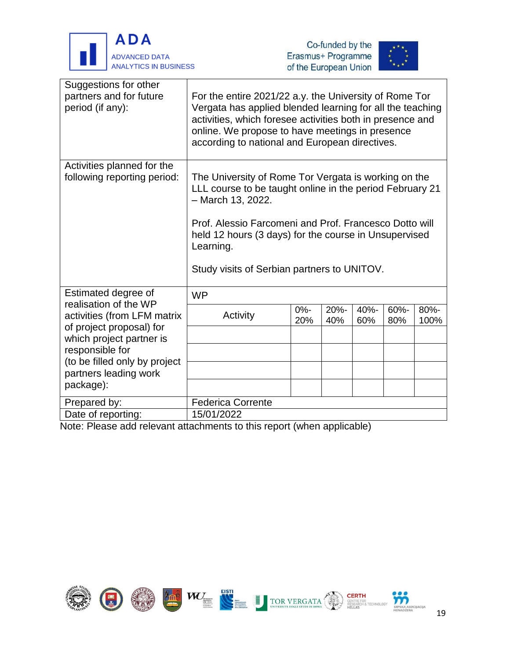

j





| Suggestions for other<br>partners and for future<br>period (if any): | For the entire 2021/22 a.y. the University of Rome Tor<br>Vergata has applied blended learning for all the teaching<br>activities, which foresee activities both in presence and<br>online. We propose to have meetings in presence<br>according to national and European directives.                                  |               |                |             |                |              |
|----------------------------------------------------------------------|------------------------------------------------------------------------------------------------------------------------------------------------------------------------------------------------------------------------------------------------------------------------------------------------------------------------|---------------|----------------|-------------|----------------|--------------|
| Activities planned for the<br>following reporting period:            | The University of Rome Tor Vergata is working on the<br>LLL course to be taught online in the period February 21<br>$-$ March 13, 2022.<br>Prof. Alessio Farcomeni and Prof. Francesco Dotto will<br>held 12 hours (3 days) for the course in Unsupervised<br>Learning.<br>Study visits of Serbian partners to UNITOV. |               |                |             |                |              |
| Estimated degree of<br>realisation of the WP                         | <b>WP</b>                                                                                                                                                                                                                                                                                                              |               |                |             |                |              |
| activities (from LFM matrix<br>of project proposal) for              | Activity                                                                                                                                                                                                                                                                                                               | $0% -$<br>20% | $20% -$<br>40% | 40%-<br>60% | $60% -$<br>80% | 80%-<br>100% |
| which project partner is                                             |                                                                                                                                                                                                                                                                                                                        |               |                |             |                |              |
| responsible for<br>(to be filled only by project                     |                                                                                                                                                                                                                                                                                                                        |               |                |             |                |              |
| partners leading work                                                |                                                                                                                                                                                                                                                                                                                        |               |                |             |                |              |
| package):                                                            |                                                                                                                                                                                                                                                                                                                        |               |                |             |                |              |
| Prepared by:                                                         | <b>Federica Corrente</b>                                                                                                                                                                                                                                                                                               |               |                |             |                |              |
| Date of reporting:                                                   | 15/01/2022                                                                                                                                                                                                                                                                                                             |               |                |             |                |              |

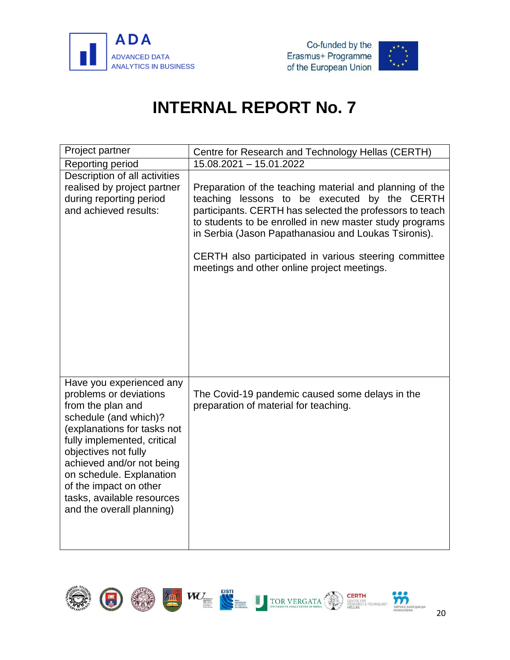



<span id="page-22-0"></span>

| Project partner                                                                                                                                                                                                                                                                                                                      | Centre for Research and Technology Hellas (CERTH)                                                                                                                                                                                                                                                                                                                                               |
|--------------------------------------------------------------------------------------------------------------------------------------------------------------------------------------------------------------------------------------------------------------------------------------------------------------------------------------|-------------------------------------------------------------------------------------------------------------------------------------------------------------------------------------------------------------------------------------------------------------------------------------------------------------------------------------------------------------------------------------------------|
| Reporting period                                                                                                                                                                                                                                                                                                                     | 15.08.2021 - 15.01.2022                                                                                                                                                                                                                                                                                                                                                                         |
| Description of all activities<br>realised by project partner<br>during reporting period<br>and achieved results:                                                                                                                                                                                                                     | Preparation of the teaching material and planning of the<br>teaching lessons to be executed by the CERTH<br>participants. CERTH has selected the professors to teach<br>to students to be enrolled in new master study programs<br>in Serbia (Jason Papathanasiou and Loukas Tsironis).<br>CERTH also participated in various steering committee<br>meetings and other online project meetings. |
| Have you experienced any<br>problems or deviations<br>from the plan and<br>schedule (and which)?<br>(explanations for tasks not<br>fully implemented, critical<br>objectives not fully<br>achieved and/or not being<br>on schedule. Explanation<br>of the impact on other<br>tasks, available resources<br>and the overall planning) | The Covid-19 pandemic caused some delays in the<br>preparation of material for teaching.                                                                                                                                                                                                                                                                                                        |

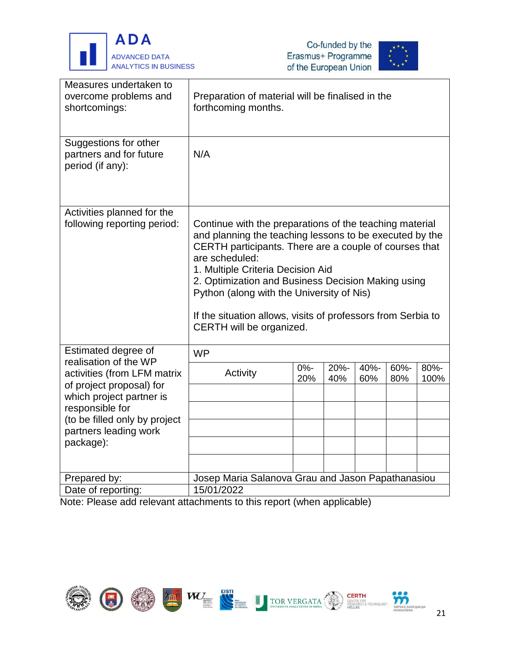





| Measures undertaken to<br>overcome problems and<br>shortcomings:     | Preparation of material will be finalised in the<br>forthcoming months.                                                                                                                                                                                                                                                                                                                                                            |               |             |             |             |              |
|----------------------------------------------------------------------|------------------------------------------------------------------------------------------------------------------------------------------------------------------------------------------------------------------------------------------------------------------------------------------------------------------------------------------------------------------------------------------------------------------------------------|---------------|-------------|-------------|-------------|--------------|
| Suggestions for other<br>partners and for future<br>period (if any): | N/A                                                                                                                                                                                                                                                                                                                                                                                                                                |               |             |             |             |              |
| Activities planned for the<br>following reporting period:            | Continue with the preparations of the teaching material<br>and planning the teaching lessons to be executed by the<br>CERTH participants. There are a couple of courses that<br>are scheduled:<br>1. Multiple Criteria Decision Aid<br>2. Optimization and Business Decision Making using<br>Python (along with the University of Nis)<br>If the situation allows, visits of professors from Serbia to<br>CERTH will be organized. |               |             |             |             |              |
| Estimated degree of<br>realisation of the WP                         | <b>WP</b>                                                                                                                                                                                                                                                                                                                                                                                                                          |               |             |             |             |              |
| activities (from LFM matrix<br>of project proposal) for              | Activity                                                                                                                                                                                                                                                                                                                                                                                                                           | $0% -$<br>20% | 20%-<br>40% | 40%-<br>60% | 60%-<br>80% | 80%-<br>100% |
| which project partner is                                             |                                                                                                                                                                                                                                                                                                                                                                                                                                    |               |             |             |             |              |
| responsible for<br>(to be filled only by project                     |                                                                                                                                                                                                                                                                                                                                                                                                                                    |               |             |             |             |              |
| partners leading work                                                |                                                                                                                                                                                                                                                                                                                                                                                                                                    |               |             |             |             |              |
| package):                                                            |                                                                                                                                                                                                                                                                                                                                                                                                                                    |               |             |             |             |              |
|                                                                      |                                                                                                                                                                                                                                                                                                                                                                                                                                    |               |             |             |             |              |
| Prepared by:                                                         | Josep Maria Salanova Grau and Jason Papathanasiou                                                                                                                                                                                                                                                                                                                                                                                  |               |             |             |             |              |
| Date of reporting:                                                   | 15/01/2022                                                                                                                                                                                                                                                                                                                                                                                                                         |               |             |             |             |              |

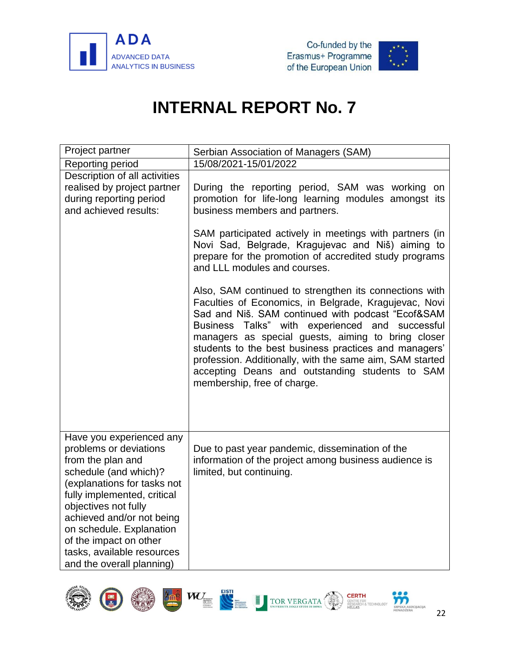



<span id="page-24-0"></span>

| Project partner                                                                                                                                                                                                                                                                                                                      | Serbian Association of Managers (SAM)                                                                                                                                                                                                                                                                                                                                                                                                                                                   |
|--------------------------------------------------------------------------------------------------------------------------------------------------------------------------------------------------------------------------------------------------------------------------------------------------------------------------------------|-----------------------------------------------------------------------------------------------------------------------------------------------------------------------------------------------------------------------------------------------------------------------------------------------------------------------------------------------------------------------------------------------------------------------------------------------------------------------------------------|
| Reporting period                                                                                                                                                                                                                                                                                                                     | 15/08/2021-15/01/2022                                                                                                                                                                                                                                                                                                                                                                                                                                                                   |
| Description of all activities<br>realised by project partner<br>during reporting period<br>and achieved results:                                                                                                                                                                                                                     | During the reporting period, SAM was working on<br>promotion for life-long learning modules amongst its<br>business members and partners.                                                                                                                                                                                                                                                                                                                                               |
|                                                                                                                                                                                                                                                                                                                                      | SAM participated actively in meetings with partners (in<br>Novi Sad, Belgrade, Kragujevac and Niš) aiming to<br>prepare for the promotion of accredited study programs<br>and LLL modules and courses.                                                                                                                                                                                                                                                                                  |
|                                                                                                                                                                                                                                                                                                                                      | Also, SAM continued to strengthen its connections with<br>Faculties of Economics, in Belgrade, Kragujevac, Novi<br>Sad and Niš. SAM continued with podcast "Ecof&SAM<br>Business Talks" with experienced and<br>successful<br>managers as special guests, aiming to bring closer<br>students to the best business practices and managers'<br>profession. Additionally, with the same aim, SAM started<br>accepting Deans and outstanding students to SAM<br>membership, free of charge. |
| Have you experienced any<br>problems or deviations<br>from the plan and<br>schedule (and which)?<br>(explanations for tasks not<br>fully implemented, critical<br>objectives not fully<br>achieved and/or not being<br>on schedule. Explanation<br>of the impact on other<br>tasks, available resources<br>and the overall planning) | Due to past year pandemic, dissemination of the<br>information of the project among business audience is<br>limited, but continuing.                                                                                                                                                                                                                                                                                                                                                    |